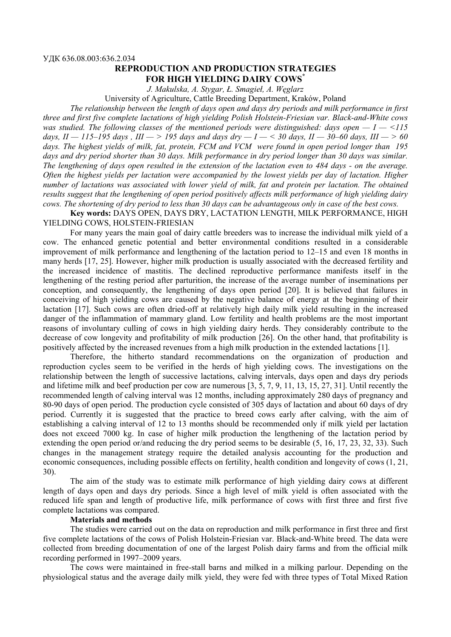## **REPRODUCTION AND PRODUCTION STRATEGIES FOR HIGH YIELDING DAIRY COWS\***

*J. Makulska, A. Stygar, Ł. Smagieł, A. Węglarz*

University of Agriculture, Cattle Breeding Department, Kraków, Poland

*The relationship between the length of days open and days dry periods and milk performance in first three and first five complete lactations of high yielding Polish Holstein-Friesian var. Black-and-White cows was studied. The following classes of the mentioned periods were distinguished: days open — I — <115*  days,  $II - 115-195$  days ,  $III - > 195$  days and days  $\frac{dv}{dt} - I - < 30$  days,  $II - 30-60$  days,  $III - > 60$ *days. The highest yields of milk, fat, protein, FCM and VCM were found in open period longer than 195 days and dry period shorter than 30 days. Milk performance in dry period longer than 30 days was similar. The lengthening of days open resulted in the extension of the lactation even to 484 days - on the average. Often the highest yields per lactation were accompanied by the lowest yields per day of lactation. Higher number of lactations was associated with lower yield of milk, fat and protein per lactation. The obtained results suggest that the lengthening of open period positively affects milk performance of high yielding dairy cows. The shortening of dry period to less than 30 days can be advantageous only in case of the best cows.* 

**Key words:** DAYS OPEN, DAYS DRY, LACTATION LENGTH, MILK PERFORMANCE, HIGH YIELDING COWS, HOLSTEIN-FRIESIAN

For many years the main goal of dairy cattle breeders was to increase the individual milk yield of a cow. The enhanced genetic potential and better environmental conditions resulted in a considerable improvement of milk performance and lengthening of the lactation period to 12–15 and even 18 months in many herds [17, 25]. However, higher milk production is usually associated with the decreased fertility and the increased incidence of mastitis. The declined reproductive performance manifests itself in the lengthening of the resting period after parturition, the increase of the average number of inseminations per conception, and consequently, the lengthening of days open period [20]. It is believed that failures in conceiving of high yielding cows are caused by the negative balance of energy at the beginning of their lactation [17]. Such cows are often dried-off at relatively high daily milk yield resulting in the increased danger of the inflammation of mammary gland. Low fertility and health problems are the most important reasons of involuntary culling of cows in high yielding dairy herds. They considerably contribute to the decrease of cow longevity and profitability of milk production [26]. On the other hand, that profitability is positively affected by the increased revenues from a high milk production in the extended lactations [1].

Therefore, the hitherto standard recommendations on the organization of production and reproduction cycles seem to be verified in the herds of high yielding cows. The investigations on the relationship between the length of successive lactations, calving intervals, days open and days dry periods and lifetime milk and beef production per cow are numerous [3, 5, 7, 9, 11, 13, 15, 27, 31]. Until recently the recommended length of calving interval was 12 months, including approximately 280 days of pregnancy and 80-90 days of open period. The production cycle consisted of 305 days of lactation and about 60 days of dry period. Currently it is suggested that the practice to breed cows early after calving, with the aim of establishing a calving interval of 12 to 13 months should be recommended only if milk yield per lactation does not exceed 7000 kg. In case of higher milk production the lengthening of the lactation period by extending the open period or/and reducing the dry period seems to be desirable (5, 16, 17, 23, 32, 33). Such changes in the management strategy require the detailed analysis accounting for the production and economic consequences, including possible effects on fertility, health condition and longevity of cows (1, 21, 30).

The aim of the study was to estimate milk performance of high yielding dairy cows at different length of days open and days dry periods. Since a high level of milk yield is often associated with the reduced life span and length of productive life, milk performance of cows with first three and first five complete lactations was compared.

### **Materials and methods**

The studies were carried out on the data on reproduction and milk performance in first three and first five complete lactations of the cows of Polish Holstein-Friesian var. Black-and-White breed. The data were collected from breeding documentation of one of the largest Polish dairy farms and from the official milk recording performed in 1997–2009 years.

The cows were maintained in free-stall barns and milked in a milking parlour. Depending on the physiological status and the average daily milk yield, they were fed with three types of Total Mixed Ration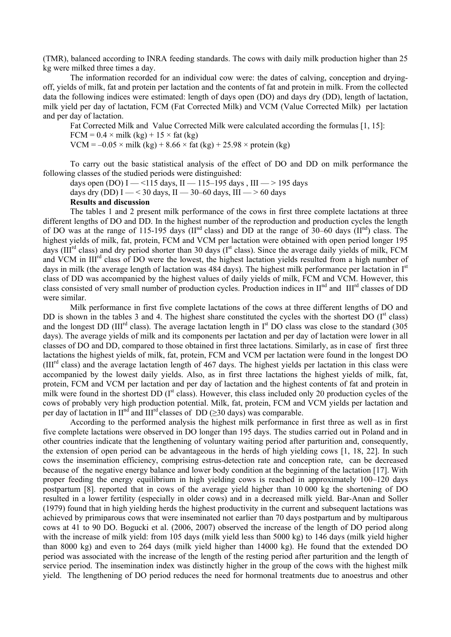(TMR), balanced according to INRA feeding standards. The cows with daily milk production higher than 25 kg were milked three times a day.

The information recorded for an individual cow were: the dates of calving, conception and dryingoff, yields of milk, fat and protein per lactation and the contents of fat and protein in milk. From the collected data the following indices were estimated: length of days open (DO) and days dry (DD), length of lactation, milk yield per day of lactation, FCM (Fat Corrected Milk) and VCM (Value Corrected Milk) per lactation and per day of lactation.

Fat Corrected Milk and Value Corrected Milk were calculated according the formulas [1, 15]:  $FCM = 0.4 \times milk (kg) + 15 \times fat (kg)$ 

VCM =  $-0.05 \times$  milk (kg) + 8.66  $\times$  fat (kg) + 25.98  $\times$  protein (kg)

To carry out the basic statistical analysis of the effect of DO and DD on milk performance the following classes of the studied periods were distinguished:

days open (DO) I — <115 days, II — 115–195 days, III — > 195 days

days dry (DD) I — < 30 days, II — 30–60 days, III — > 60 days

#### **Results and discussion**

The tables 1 and 2 present milk performance of the cows in first three complete lactations at three different lengths of DO and DD. In the highest number of the reproduction and production cycles the length of DO was at the range of 115-195 days ( $II<sup>nd</sup>$  class) and DD at the range of  $30-60$  days ( $II<sup>nd</sup>$ ) class. The highest yields of milk, fat, protein, FCM and VCM per lactation were obtained with open period longer 195 days ( $III<sup>rd</sup>$  class) and dry period shorter than 30 days ( $I<sup>st</sup>$  class). Since the average daily yields of milk, FCM and VCM in III<sup>rd</sup> class of DO were the lowest, the highest lactation yields resulted from a high number of days in milk (the average length of lactation was 484 days). The highest milk performance per lactation in I<sup>st</sup> class of DD was accompanied by the highest values of daily yields of milk, FCM and VCM. However, this class consisted of very small number of production cycles. Production indices in  $II<sup>nd</sup>$  and  $III<sup>rd</sup>$  classes of DD were similar.

Milk performance in first five complete lactations of the cows at three different lengths of DO and DD is shown in the tables 3 and 4. The highest share constituted the cycles with the shortest DO  $(I<sup>st</sup> class)$ and the longest DD (III<sup>rd</sup> class). The average lactation length in  $I<sup>st</sup>$  DO class was close to the standard (305) days). The average yields of milk and its components per lactation and per day of lactation were lower in all classes of DO and DD, compared to those obtained in first three lactations. Similarly, as in case of first three lactations the highest yields of milk, fat, protein, FCM and VCM per lactation were found in the longest DO (IIIrd class) and the average lactation length of 467 days. The highest yields per lactation in this class were accompanied by the lowest daily yields. Also, as in first three lactations the highest yields of milk, fat, protein, FCM and VCM per lactation and per day of lactation and the highest contents of fat and protein in milk were found in the shortest DD (I<sup>st</sup> class). However, this class included only 20 production cycles of the cows of probably very high production potential. Milk, fat, protein, FCM and VCM yields per lactation and per day of lactation in  $II<sup>nd</sup>$  and  $III<sup>rd</sup>$  classes of DD ( $\geq$ 30 days) was comparable.

According to the performed analysis the highest milk performance in first three as well as in first five complete lactations were observed in DO longer than 195 days. The studies carried out in Poland and in other countries indicate that the lengthening of voluntary waiting period after parturition and, consequently, the extension of open period can be advantageous in the herds of high yielding cows [1, 18, 22]. In such cows the insemination efficiency, comprising estrus-detection rate and conception rate, can be decreased because of the negative energy balance and lower body condition at the beginning of the lactation [17]. With proper feeding the energy equilibrium in high yielding cows is reached in approximately 100–120 days postpartum [8]. reported that in cows of the average yield higher than 10 000 kg the shortening of DO resulted in a lower fertility (especially in older cows) and in a decreased milk yield. Bar-Anan and Soller (1979) found that in high yielding herds the highest productivity in the current and subsequent lactations was achieved by primiparous cows that were inseminated not earlier than 70 days postpartum and by multiparous cows at 41 to 90 DO. Bogucki et al. (2006, 2007) observed the increase of the length of DO period along with the increase of milk yield: from 105 days (milk yield less than 5000 kg) to 146 days (milk yield higher than 8000 kg) and even to 264 days (milk yield higher than 14000 kg). He found that the extended DO period was associated with the increase of the length of the resting period after parturition and the length of service period. The insemination index was distinctly higher in the group of the cows with the highest milk yield. The lengthening of DO period reduces the need for hormonal treatments due to anoestrus and other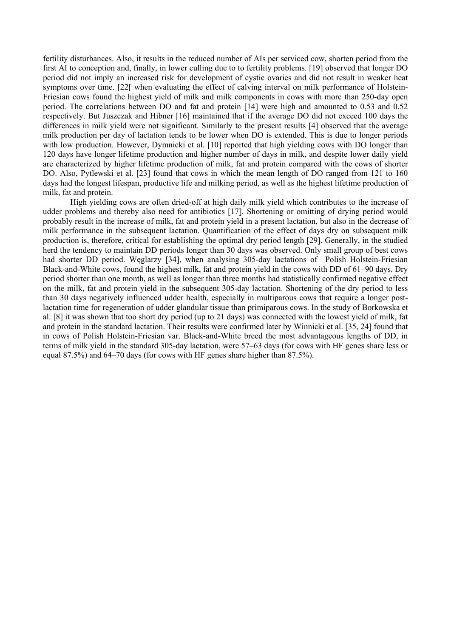fertility disturbances. Also, it results in the reduced number of AIs per serviced cow, shorten period from the first AI to conception and, finally, in lower culling due to to fertility problems. [19] observed that longer DO period did not imply an increased risk for development of cystic ovaries and did not result in weaker heat symptoms over time. [22[ when evaluating the effect of calving interval on milk performance of Holstein-Friesian cows found the highest yield of milk and milk components in cows with more than 250-day open period. The correlations between DO and fat and protein [14] were high and amounted to 0.53 and 0.52 respectively. But Juszczak and Hibner [16] maintained that if the average DO did not exceed 100 days the differences in milk yield were not significant. Similarly to the present results [4] observed that the average milk production per day of lactation tends to be lower when DO is extended. This is due to longer periods with low production. However, Dymnicki et al. [10] reported that high yielding cows with DO longer than 120 days have longer lifetime production and higher number of days in milk, and despite lower daily yield are characterized by higher lifetime production of milk, fat and protein compared with the cows of shorter DO. Also, Pytlewski et al. [23] found that cows in which the mean length of DO ranged from 121 to 160 days had the longest lifespan, productive life and milking period, as well as the highest lifetime production of milk, fat and protein.

High yielding cows are often dried-off at high daily milk yield which contributes to the increase of udder problems and thereby also need for antibiotics [17]. Shortening or omitting of drying period would probably result in the increase of milk, fat and protein yield in a present lactation, but also in the decrease of milk performance in the subsequent lactation. Quantification of the effect of days dry on subsequent milk production is, therefore, critical for establishing the optimal dry period length [29]. Generally, in the studied herd the tendency to maintain DD periods longer than 30 days was observed. Only small group of best cows had shorter DD period. Węglarzy [34], when analysing 305-day lactations of Polish Holstein-Friesian Black-and-White cows, found the highest milk, fat and protein yield in the cows with DD of 61–90 days. Dry period shorter than one month, as well as longer than three months had statistically confirmed negative effect on the milk, fat and protein yield in the subsequent 305-day lactation. Shortening of the dry period to less than 30 days negatively influenced udder health, especially in multiparous cows that require a longer postlactation time for regeneration of udder glandular tissue than primiparous cows. In the study of Borkowska et al. [8] it was shown that too short dry period (up to 21 days) was connected with the lowest yield of milk, fat and protein in the standard lactation. Their results were confirmed later by Winnicki et al. [35, 24] found that in cows of Polish Holstein-Friesian var. Black-and-White breed the most advantageous lengths of DD, in terms of milk yield in the standard 305-day lactation, were 57–63 days (for cows with HF genes share less or equal 87.5%) and 64–70 days (for cows with HF genes share higher than 87.5%).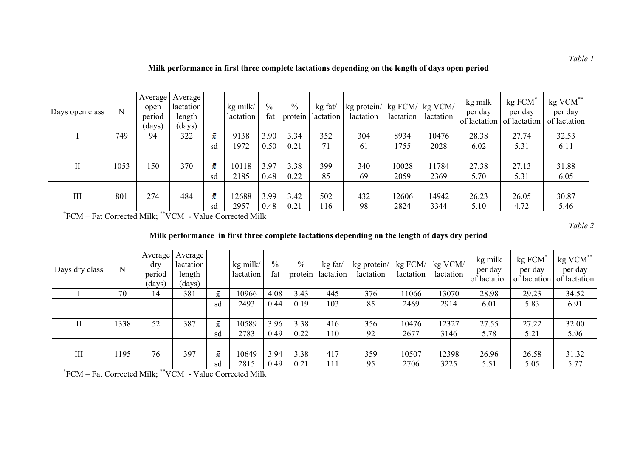| Days open class | N    | Average<br>open<br>period<br>(days) | Average<br>lactation<br>length<br>(days) |    | kg milk/<br>lactation | $\frac{0}{0}$<br>fat | $\%$<br>protein | kg fat/<br>lactation | kg protein/   kg FCM/   kg VCM/<br>lactation | lactation | lactation | kg milk<br>per day | kg FCM<br>per day<br>of lactation of lactation | kg VCM**<br>per day<br>of lactation |
|-----------------|------|-------------------------------------|------------------------------------------|----|-----------------------|----------------------|-----------------|----------------------|----------------------------------------------|-----------|-----------|--------------------|------------------------------------------------|-------------------------------------|
|                 | 749  | 94                                  | 322                                      | ž. | 9138                  | 3.90                 | 3.34            | 352                  | 304                                          | 8934      | 10476     | 28.38              | 27.74                                          | 32.53                               |
|                 |      |                                     |                                          | sd | 1972                  | 0.50                 | 0.21            | 71                   | 61                                           | 1755      | 2028      | 6.02               | 5.31                                           | 6.11                                |
|                 |      |                                     |                                          |    |                       |                      |                 |                      |                                              |           |           |                    |                                                |                                     |
| П               | 1053 | 150                                 | 370                                      | ż. | 10118                 | 3.97                 | 3.38            | 399                  | 340                                          | 10028     | 11784     | 27.38              | 27.13                                          | 31.88                               |
|                 |      |                                     |                                          | sd | 2185                  | 0.48                 | 0.22            | 85                   | 69                                           | 2059      | 2369      | 5.70               | 5.31                                           | 6.05                                |
|                 |      |                                     |                                          |    |                       |                      |                 |                      |                                              |           |           |                    |                                                |                                     |
| III             | 801  | 274                                 | 484                                      | ž. | 12688                 | 3.99                 | 3.42            | 502                  | 432                                          | 12606     | 14942     | 26.23              | 26.05                                          | 30.87                               |
|                 |      |                                     |                                          | sd | 2957                  | 0.48                 | 0.21            | 116                  | 98                                           | 2824      | 3344      | 5.10               | 4.72                                           | 5.46                                |

**\***FCM – Fat Corrected Milk; \*\*VCM - Value Corrected Milk

*Table 2* 

## **Milk performance in first three complete lactations depending on the length of days dry period**

| Days dry class | N    | Average<br>dry<br>period<br>(days) | Average<br>lactation<br>length<br>(days) |    | kg milk/<br>lactation | $\frac{0}{0}$<br>fat | $\frac{0}{0}$<br>protein | kg fat<br>lactation | kg protein/<br>lactation | $kg$ FCM/<br>lactation | kg VCM/<br>lactation | kg milk<br>per day<br>of lactation | kg FCM<br>per day | kg VCM**<br>per day<br>of lactation of lactation |
|----------------|------|------------------------------------|------------------------------------------|----|-----------------------|----------------------|--------------------------|---------------------|--------------------------|------------------------|----------------------|------------------------------------|-------------------|--------------------------------------------------|
|                | 70   | 14                                 | 381                                      | ż  | 10966                 | 4.08                 | 3.43                     | 445                 | 376                      | 1066                   | 13070                | 28.98                              | 29.23             | 34.52                                            |
|                |      |                                    |                                          | sd | 2493                  | 0.44                 | 0.19                     | 103                 | 85                       | 2469                   | 2914                 | 6.01                               | 5.83              | 6.91                                             |
|                |      |                                    |                                          |    |                       |                      |                          |                     |                          |                        |                      |                                    |                   |                                                  |
|                | 1338 | 52                                 | 387                                      | ż. | 10589                 | 3.96                 | 3.38                     | 416                 | 356                      | 10476                  | 12327                | 27.55                              | 27.22             | 32.00                                            |
|                |      |                                    |                                          | sd | 2783                  | 0.49                 | 0.22                     | 110                 | 92                       | 2677                   | 3146                 | 5.78                               | 5.21              | 5.96                                             |
|                |      |                                    |                                          |    |                       |                      |                          |                     |                          |                        |                      |                                    |                   |                                                  |
| III            | 1195 | 76                                 | 397                                      | ż. | 10649                 | 3.94                 | 3.38                     | 417                 | 359                      | 10507                  | 12398                | 26.96                              | 26.58             | 31.32                                            |
|                |      | $\overline{\phantom{a}}$           |                                          | sd | 2815                  | 0.49                 | 0.21                     | 111                 | 95                       | 2706                   | 3225                 | 5.51                               | 5.05              | 5.77                                             |

**\***FCM – Fat Corrected Milk; \*\*VCM - Value Corrected Milk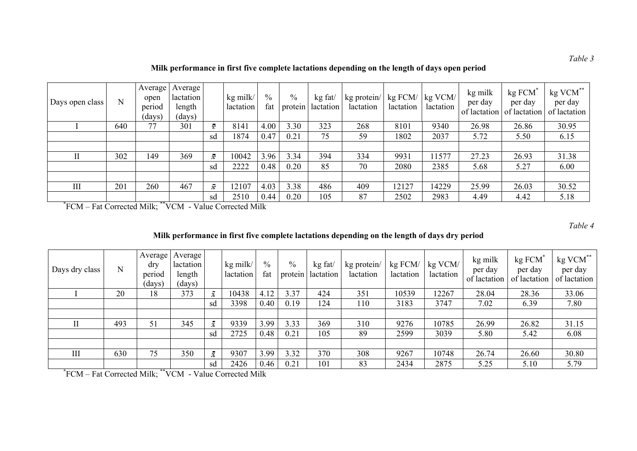**Milk performance in first five complete lactations depending on the length of days open period**

| Days open class | N   | Average<br>open<br>period<br>(days) | Average  <br>lactation<br>length<br>(days) |    | kg milk/<br>lactation | $\%$<br>fat | $\%$ | kg fat/<br>protein actation | kg protein/<br>lactation | kg FCM/<br>lactation | $1 \text{ kg } VCM$<br>lactation | kg milk<br>per day | kg FCM<br>per day<br>of lactation of lactation | kg VCM**<br>per day<br>of lactation |
|-----------------|-----|-------------------------------------|--------------------------------------------|----|-----------------------|-------------|------|-----------------------------|--------------------------|----------------------|----------------------------------|--------------------|------------------------------------------------|-------------------------------------|
|                 | 640 | 77                                  | 301                                        | ÷  | 8141                  | 4.00        | 3.30 | 323                         | 268                      | 8101                 | 9340                             | 26.98              | 26.86                                          | 30.95                               |
|                 |     |                                     |                                            | sd | 1874                  | 0.47        | 0.21 | 75                          | 59                       | 1802                 | 2037                             | 5.72               | 5.50                                           | 6.15                                |
|                 |     |                                     |                                            |    |                       |             |      |                             |                          |                      |                                  |                    |                                                |                                     |
|                 | 302 | 149                                 | 369                                        | ž. | 10042                 | 3.96        | 3.34 | 394                         | 334                      | 9931                 | 1577                             | 27.23              | 26.93                                          | 31.38                               |
|                 |     |                                     |                                            | sd | 2222                  | 0.48        | 0.20 | 85                          | 70                       | 2080                 | 2385                             | 5.68               | 5.27                                           | 6.00                                |
|                 |     |                                     |                                            |    |                       |             |      |                             |                          |                      |                                  |                    |                                                |                                     |
| III             | 201 | 260                                 | 467                                        | ž. | 2107                  | 4.03        | 3.38 | 486                         | 409                      | 12127                | 14229                            | 25.99              | 26.03                                          | 30.52                               |
|                 |     |                                     |                                            | sd | 2510                  | 0.44        | 0.20 | 105                         | 87                       | 2502                 | 2983                             | 4.49               | 4.42                                           | 5.18                                |

**\***FCM – Fat Corrected Milk; \*\*VCM - Value Corrected Milk

*Table 4* 

**Milk performance in first five complete lactations depending on the length of days dry period**

| Days dry class | N   | Average<br>dry<br>period<br>(days) | Average<br>lactation<br>length<br>(days) |              | kg milk/<br>lactation | $\frac{0}{0}$<br>fat | $\frac{0}{0}$ | kg fat/<br>protein   lactation | kg protein/<br>lactation | kg FCM/<br>lactation | kg VCM/<br>lactation | kg milk<br>per day<br>of lactation | kg FCM<br>per day<br>of lactation | kg VCM**<br>per day<br>of lactation |
|----------------|-----|------------------------------------|------------------------------------------|--------------|-----------------------|----------------------|---------------|--------------------------------|--------------------------|----------------------|----------------------|------------------------------------|-----------------------------------|-------------------------------------|
|                | 20  | 18                                 | 373                                      | $\mathbf{x}$ | 10438                 | 4.12                 | 3.37          | 424                            | 351                      | 10539                | 12267                | 28.04                              | 28.36                             | 33.06                               |
|                |     |                                    |                                          | sd           | 3398                  | 0.40                 | 0.19          | 124                            | 110                      | 3183                 | 3747                 | 7.02                               | 6.39                              | 7.80                                |
|                |     |                                    |                                          |              |                       |                      |               |                                |                          |                      |                      |                                    |                                   |                                     |
|                | 493 | 51                                 | 345                                      | ż            | 9339                  | 3.99                 | 3.33          | 369                            | 310                      | 9276                 | 10785                | 26.99                              | 26.82                             | 31.15                               |
|                |     |                                    |                                          | sd           | 2725                  | 0.48                 | 0.21          | 105                            | 89                       | 2599                 | 3039                 | 5.80                               | 5.42                              | 6.08                                |
|                |     |                                    |                                          |              |                       |                      |               |                                |                          |                      |                      |                                    |                                   |                                     |
| III            | 630 | 75                                 | 350                                      | $\mathbf{x}$ | 9307                  | 3.99                 | 3.32          | 370                            | 308                      | 9267                 | 10748                | 26.74                              | 26.60                             | 30.80                               |
|                |     | $\overline{1}$                     |                                          | sd           | 2426                  | 0.46                 | 0.21          | 101                            | 83                       | 2434                 | 2875                 | 5.25                               | 5.10                              | 5.79                                |

**\***FCM – Fat Corrected Milk; \*\*VCM - Value Corrected Milk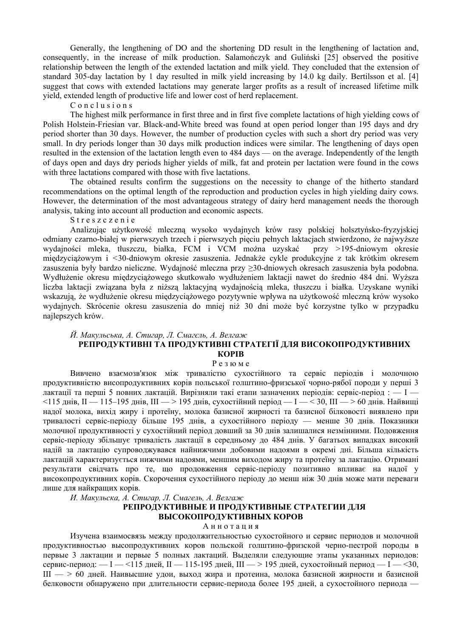Generally, the lengthening of DO and the shortening DD result in the lengthening of lactation and, consequently, in the increase of milk production. Salamończyk and Guliński [25] observed the positive relationship between the length of the extended lactation and milk yield. They concluded that the extension of standard 305-day lactation by 1 day resulted in milk yield increasing by 14.0 kg daily. Bertilsson et al. [4] suggest that cows with extended lactations may generate larger profits as a result of increased lifetime milk yield, extended length of productive life and lower cost of herd replacement.

C o n c l u s i o n s

The highest milk performance in first three and in first five complete lactations of high yielding cows of Polish Holstein-Friesian var. Black-and-White breed was found at open period longer than 195 days and dry period shorter than 30 days. However, the number of production cycles with such a short dry period was very small. In dry periods longer than 30 days milk production indices were similar. The lengthening of days open resulted in the extension of the lactation length even to 484 days — on the average. Independently of the length of days open and days dry periods higher yields of milk, fat and protein per lactation were found in the cows with three lactations compared with those with five lactations.

The obtained results confirm the suggestions on the necessity to change of the hitherto standard recommendations on the optimal length of the reproduction and production cycles in high yielding dairy cows. However, the determination of the most advantageous strategy of dairy herd management needs the thorough analysis, taking into account all production and economic aspects.

S treszczenie

Analizując użytkowość mleczną wysoko wydajnych krów rasy polskiej holsztyńsko-fryzyjskiej odmiany czarno-białej w pierwszych trzech i pierwszych pięciu pełnych laktacjach stwierdzono, że najwyższe wydajności mleka, tłuszczu, białka, FCM i VCM można uzyskać przy *>*195-dniowym okresie międzyciążowym i *<*30-dniowym okresie zasuszenia. Jednakże cykle produkcyjne z tak krótkim okresem zasuszenia były bardzo nieliczne. Wydajność mleczna przy ≥30-dniowych okresach zasuszenia była podobna. Wydłużenie okresu międzyciążowego skutkowało wydłużeniem laktacji nawet do średnio 484 dni. Wyższa liczba laktacji związana była z niższą laktacyjną wydajnością mleka, tłuszczu i białka. Uzyskane wyniki wskazują, że wydłużenie okresu międzyciążowego pozytywnie wpływa na użytkowość mleczną krów wysoko wydajnych. Skrócenie okresu zasuszenia do mniej niż 30 dni może być korzystne tylko w przypadku najlepszych krów.

#### *Й. Макульська, А. Стигар, Л. Смагєль, А. Велгаж*  **РЕПРОДУКТИВНІ ТА ПРОДУКТИВНІ СТРАТЕГІЇ ДЛЯ ВИСОКОПРОДУКТИВНИХ КОРІВ**

# Р е з ю м е

Вивчено взаємозв'язок між тривалістю сухостійного та сервіс періодів і молочною продуктивністю висопродуктивних корів польської голштино-фризської чорно-рябої породи у перші 3 лактації та перші 5 повних лактацій. Вирізняли такі етапи зазначених періодів: сервіс-період :  $-1$ <115 днів, II — 115–195 днів, III — > 195 днів, сухостійний період — I — < 30, III — > 60 днів. Найвищі надої молока, вихід жиру і протеїну, молока базисної жирності та базисної білковості виявлено при тривалості сервіс-періоду більше 195 днів, а сухостійного періоду — менше 30 днів. Показники молочної продуктивності у сухостійний період довший за 30 днів залишалися незмінними. Подовження сервіс-періоду збільшує тривалість лактації в середньому до 484 днів. У багатьох випадках високий надій за лактацію супроводжувався найнижчими добовими надоями в окремі дні. Більша кількість лактацій характеризується нижчими надоями, меншим виходом жиру та протеїну за лактацію. Отримані результати свідчать про те, що продовження сервіс-періоду позитивно впливає на надої у високопродуктивних корів. Скорочення сухостійного періоду до менш ніж 30 днів може мати переваги лише для найкращих корів.

*И. Макульска, А. Стигар, Л. Смагель, А. Велгаж* 

### **РЕПРОДУКТИВНЫЕ И ПРОДУКТИВНЫЕ СТРАТЕГИИ ДЛЯ ВЫСОКОПРОДУКТИВНЫХ КОРОВ**

А н н о т а ц и я

Изучена взаимосвязь между продолжительностью сухостойного и сервис периодов и молочной продуктивностью высопродуктивних коров польской голштино-фризской черно-пестрой породы в первые 3 лактации и первые 5 полных лактаций. Выделяли следующие этапы указанных периодов: сервис-период:  $- I - \langle 115 \text{ and } II - 115 \cdot 195 \text{ and } III - \rangle 195 \text{ and } \text{cycocroйный период} - I - \langle 30, \text{cycocroйный период} \rangle$ III — > 60 дней. Наивысшие удои, выход жира и протеина, молока базисной жирности и базисной белковости обнаружено при длительности сервис-периода более 195 дней, а сухостойного периода —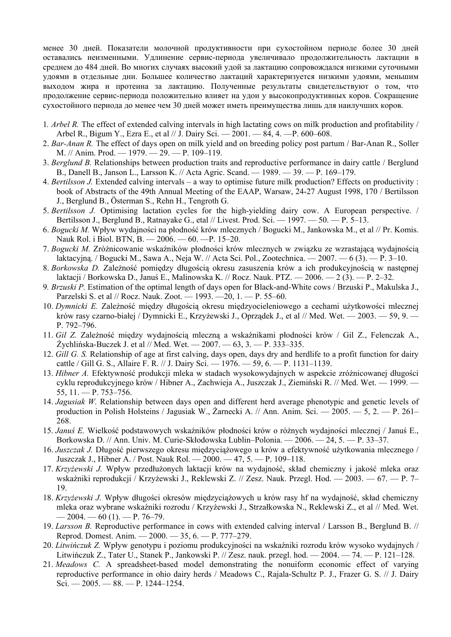менее 30 дней. Показатели молочной продуктивности при сухостойном периоде более 30 дней оставались неизменными. Удлинение сервис-периода увеличивало продолжительность лактации в среднем до 484 дней. Во многих случаях высокий удой за лактацию сопровождался низкими суточными удоями в отдельные дни. Большее количество лактаций характеризуется низкими удоями, меньшим выходом жира и протеина за лактацию. Полученные результаты свидетельствуют о том, что продолжение сервис-периода положительно влияет на удои у высокопродуктивных коров. Сокращение сухостойного периода до менее чем 30 дней может иметь преимущества лишь для наилучших коров.

- 1*. Arbel R.* The effect of extended calving intervals in high lactating cows on milk production and profitability / Arbel R., Bigum Y., Ezra E., et al // J. Dairy Sci. — 2001. — 84, 4. —P. 600–608.
- 2. *Bar-Anan R.* The effect of days open on milk yield and on breeding policy post partum / Bar-Anan R., Soller M. // Anim. Prod. — 1979. — 29. — P. 109–119.
- 3. *Berglund B.* Relationships between production traits and reproductive performance in dairy cattle / Berglund B., Danell B., Janson L., Larsson K. // Acta Agric. Scand. — 1989. — 39. — P. 169–179.
- 4. *Bertilsson J.* Extended calving intervals a way to optimise future milk production? Effects on productivity : book of Abstracts of the 49th Annual Meeting of the EAAP, Warsaw, 24-27 August 1998, 170 / Bertilsson J., Berglund B., Österman S., Rehn H., Tengroth G.
- 5. *Bertilsson J.* Optimising lactation cycles for the high-yielding dairy cow. A European perspective. / Bertilsson J., Berglund B., Ratnayake G., etal // Livest. Prod. Sci. — 1997. — 50. — P. 5–13.
- 6. *Bogucki M.* Wpływ wydajności na płodność krów mlecznych / Bogucki M., Jankowska M., et al // Pr. Komis. Nauk Rol. i Biol. BTN, B. — 2006. — 60. —P. 15–20.
- 7. *Bogucki M.* Zróżnicowanie wskaźników płodności krów mlecznych w związku ze wzrastającą wydajnością laktacyjną. / Bogucki M., Sawa A., Neja W. // Acta Sci. Pol., Zootechnica. — 2007. — 6 (3). — P. 3–10.
- 8. *Borkowska D.* Zależność pomiędzy długością okresu zasuszenia krów a ich produkcyjnością w następnej laktacji / Borkowska D., Januś E., Malinowska K. // Rocz. Nauk. PTZ.  $-2006$ .  $-2(3)$ .  $-$  P. 2–32.
- 9*. Brzuski P.* Estimation of the optimal length of days open for Black-and-White cows / Brzuski P., Makulska J., Parzelski S. et al // Rocz. Nauk. Zoot. — 1993. —20, 1. — P. 55–60.
- 10. *Dymnicki E.* Zależność między długością okresu międzyocieleniowego a cechami użytkowości mlecznej krów rasy czarno-białej / Dymnicki E., Krzyżewski J., Oprządek J., et al // Med. Wet. — 2003. — 59, 9. — P. 792–796.
- 11. *Gil Z.* Zależność między wydajnością mleczną a wskaźnikami płodności krów / Gil Z., Felenczak A., Żychlińska-Buczek J. et al // Med. Wet. — 2007. — 63, 3. — P. 333–335.
- 12. *Gill G. S.* Relationship of age at first calving, days open, days dry and herdlife to a profit function for dairy cattle / Gill G. S., Allaire F. R. // J. Dairy Sci. — 1976. — 59, 6. — P. 1131–1139.
- 13. *Hibner A.* Efektywność produkcji mleka w stadach wysokowydajnych w aspekcie zróżnicowanej długości cyklu reprodukcyjnego krów / Hibner A., Zachwieja A., Juszczak J., Ziemiński R. // Med. Wet. — 1999. —  $55, 11. - P. 753 - 756.$
- 14. *Jagusiak W.* Relationship between days open and different herd average phenotypic and genetic levels of production in Polish Holsteins / Jagusiak W., Żarnecki A. // Ann. Anim. Sci. — 2005. — 5, 2. — P. 261– 268.
- 15. *Januś E.* Wielkość podstawowych wskaźników płodności krów o różnych wydajności mlecznej / Januś E., Borkowska D. // Ann. Univ. M. Curie-Skłodowska Lublin–Polonia. — 2006. — 24, 5. — P. 33–37.
- 16. *Juszczak J.* Długość pierwszego okresu międzyciążowego u krów a efektywność użytkowania mlecznego / Juszczak J., Hibner A. / Post. Nauk Rol. — 2000. — 47, 5. — P. 109–118.
- 17. *Krzyżewski J.* Wpływ przedłużonych laktacji krów na wydajność, skład chemiczny i jakość mleka oraz wskaźniki reprodukcji / Krzyżewski J., Reklewski Z. // Zesz. Nauk. Przegl. Hod. — 2003. — 67. — P. 7– 19.
- 18. *Krzyżewski J.* Wpływ długości okresów międzyciążowych u krów rasy hf na wydajność, skład chemiczny mleka oraz wybrane wskaźniki rozrodu / Krzyżewski J., Strzałkowska N., Reklewski Z., et al // Med. Wet.  $-2004 - 60(1) - P. 76-79.$
- 19. *Larsson B.* Reproductive performance in cows with extended calving interval / Larsson B., Berglund B. // Reprod. Domest. Anim. — 2000. — 35, 6. — P. 777–279.
- 20. *Litwińczuk Z.* Wpływ genotypu i poziomu produkcyjności na wskaźniki rozrodu krów wysoko wydajnych / Litwińczuk Z., Tater U., Stanek P., Jankowski P. // Zesz. nauk. przegl. hod. — 2004. — 74. — P. 121–128.
- 21. *Meadows C.* A spreadsheet-based model demonstrating the nonuiform economic effect of varying reproductive performance in ohio dairy herds / Meadows C., Rajala-Schultz P. J., Frazer G. S. // J. Dairy Sci. — 2005. — 88. — P. 1244–1254.